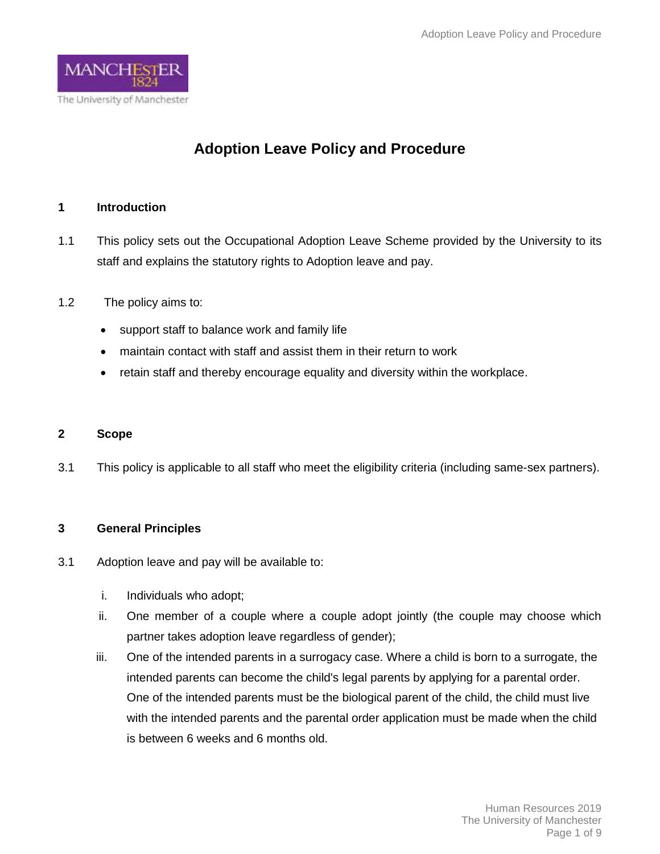

# **Adoption Leave Policy and Procedure**

## **1 Introduction**

- 1.1 This policy sets out the Occupational Adoption Leave Scheme provided by the University to its staff and explains the statutory rights to Adoption leave and pay.
- 1.2 The policy aims to:
	- support staff to balance work and family life
	- maintain contact with staff and assist them in their return to work
	- retain staff and thereby encourage equality and diversity within the workplace.

### **2 Scope**

3.1 This policy is applicable to all staff who meet the eligibility criteria (including same-sex partners).

### **3 General Principles**

- 3.1 Adoption leave and pay will be available to:
	- i. Individuals who adopt;
	- ii. One member of a couple where a couple adopt jointly (the couple may choose which partner takes adoption leave regardless of gender);
	- iii. One of the intended parents in a surrogacy case. Where a child is born to a surrogate, the intended parents can become the child's legal parents by applying for a parental order. One of the intended parents must be the biological parent of the child, the child must live with the intended parents and the parental order application must be made when the child is between 6 weeks and 6 months old.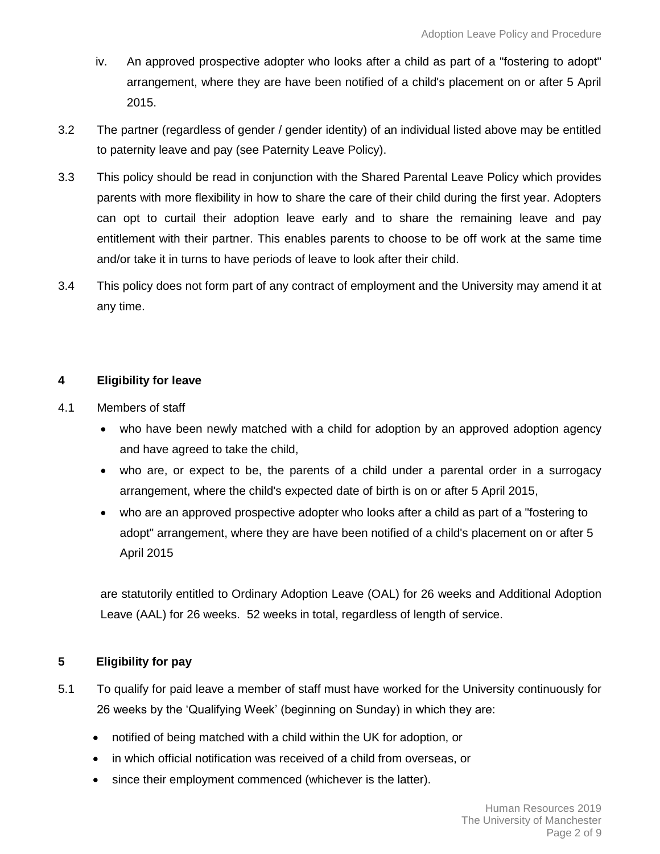- iv. An approved prospective adopter who looks after a child as part of a "fostering to adopt" arrangement, where they are have been notified of a child's placement on or after 5 April 2015.
- 3.2 The partner (regardless of gender / gender identity) of an individual listed above may be entitled to paternity leave and pay (see Paternity Leave Policy).
- 3.3 This policy should be read in conjunction with the Shared Parental Leave Policy which provides parents with more flexibility in how to share the care of their child during the first year. Adopters can opt to curtail their adoption leave early and to share the remaining leave and pay entitlement with their partner. This enables parents to choose to be off work at the same time and/or take it in turns to have periods of leave to look after their child.
- 3.4 This policy does not form part of any contract of employment and the University may amend it at any time.

## **4 Eligibility for leave**

- 4.1 Members of staff
	- who have been newly matched with a child for adoption by an approved adoption agency and have agreed to take the child,
	- who are, or expect to be, the parents of a child under a parental order in a surrogacy arrangement, where the child's expected date of birth is on or after 5 April 2015,
	- who are an approved prospective adopter who looks after a child as part of a "fostering to adopt" arrangement, where they are have been notified of a child's placement on or after 5 April 2015

are statutorily entitled to Ordinary Adoption Leave (OAL) for 26 weeks and Additional Adoption Leave (AAL) for 26 weeks. 52 weeks in total, regardless of length of service.

### **5 Eligibility for pay**

- 5.1 To qualify for paid leave a member of staff must have worked for the University continuously for 26 weeks by the 'Qualifying Week' (beginning on Sunday) in which they are:
	- notified of being matched with a child within the UK for adoption, or
	- in which official notification was received of a child from overseas, or
	- since their employment commenced (whichever is the latter).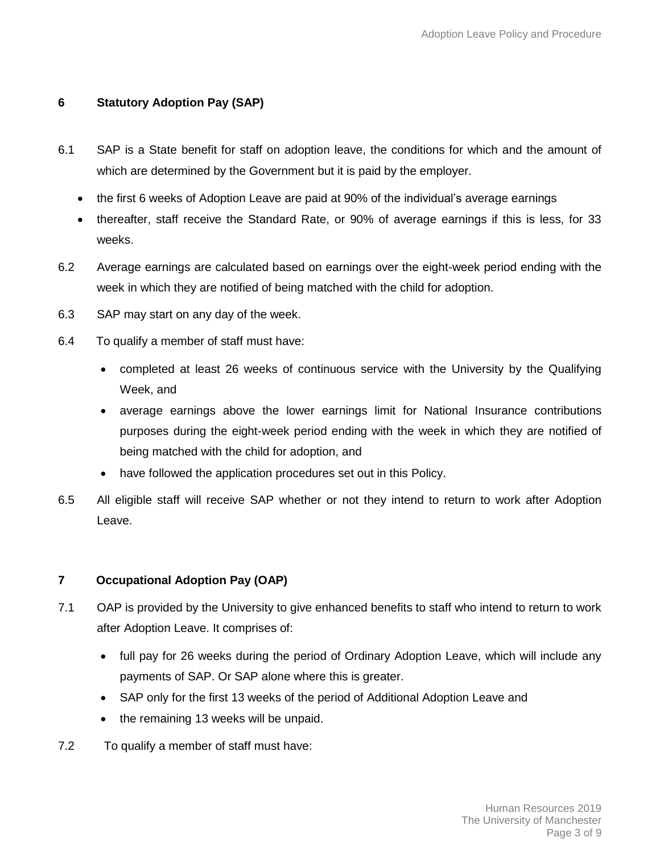# **6 Statutory Adoption Pay (SAP)**

- 6.1 SAP is a State benefit for staff on adoption leave, the conditions for which and the amount of which are determined by the Government but it is paid by the employer.
	- the first 6 weeks of Adoption Leave are paid at 90% of the individual's average earnings
	- thereafter, staff receive the Standard Rate, or 90% of average earnings if this is less, for 33 weeks.
- 6.2 Average earnings are calculated based on earnings over the eight-week period ending with the week in which they are notified of being matched with the child for adoption.
- 6.3 SAP may start on any day of the week.
- 6.4 To qualify a member of staff must have:
	- completed at least 26 weeks of continuous service with the University by the Qualifying Week, and
	- average earnings above the lower earnings limit for National Insurance contributions purposes during the eight-week period ending with the week in which they are notified of being matched with the child for adoption, and
	- have followed the application procedures set out in this Policy.
- 6.5 All eligible staff will receive SAP whether or not they intend to return to work after Adoption Leave.

# **7 Occupational Adoption Pay (OAP)**

- 7.1 OAP is provided by the University to give enhanced benefits to staff who intend to return to work after Adoption Leave. It comprises of:
	- full pay for 26 weeks during the period of Ordinary Adoption Leave, which will include any payments of SAP. Or SAP alone where this is greater.
	- SAP only for the first 13 weeks of the period of Additional Adoption Leave and
	- the remaining 13 weeks will be unpaid.
- 7.2 To qualify a member of staff must have: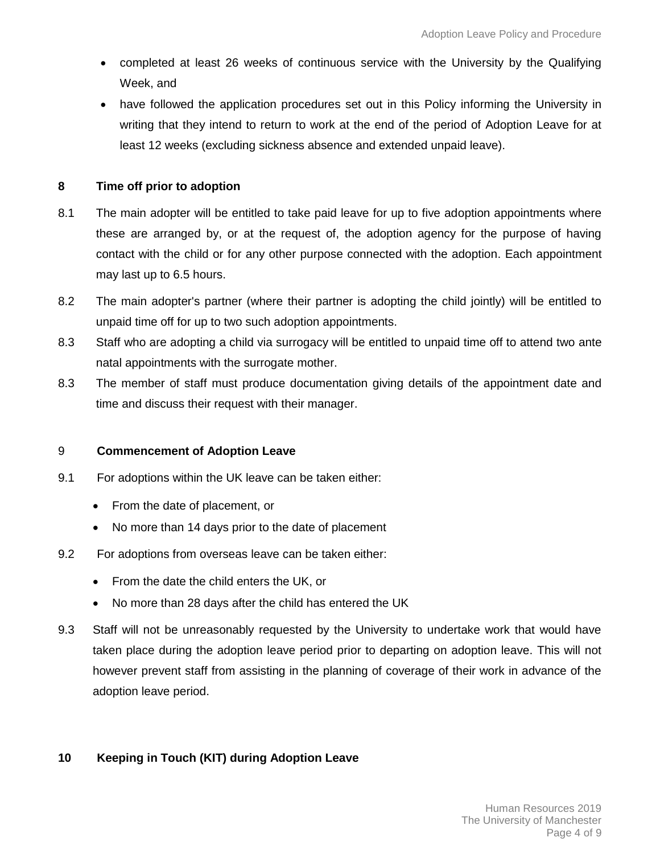- completed at least 26 weeks of continuous service with the University by the Qualifying Week, and
- have followed the application procedures set out in this Policy informing the University in writing that they intend to return to work at the end of the period of Adoption Leave for at least 12 weeks (excluding sickness absence and extended unpaid leave).

### **8 Time off prior to adoption**

- 8.1 The main adopter will be entitled to take paid leave for up to five adoption appointments where these are arranged by, or at the request of, the adoption agency for the purpose of having contact with the child or for any other purpose connected with the adoption. Each appointment may last up to 6.5 hours.
- 8.2 The main adopter's partner (where their partner is adopting the child jointly) will be entitled to unpaid time off for up to two such adoption appointments.
- 8.3 Staff who are adopting a child via surrogacy will be entitled to unpaid time off to attend two ante natal appointments with the surrogate mother.
- 8.3 The member of staff must produce documentation giving details of the appointment date and time and discuss their request with their manager.

### 9 **Commencement of Adoption Leave**

- 9.1 For adoptions within the UK leave can be taken either:
	- From the date of placement, or
	- No more than 14 days prior to the date of placement
- 9.2 For adoptions from overseas leave can be taken either:
	- From the date the child enters the UK, or
	- No more than 28 days after the child has entered the UK
- 9.3 Staff will not be unreasonably requested by the University to undertake work that would have taken place during the adoption leave period prior to departing on adoption leave. This will not however prevent staff from assisting in the planning of coverage of their work in advance of the adoption leave period.

# **10 Keeping in Touch (KIT) during Adoption Leave**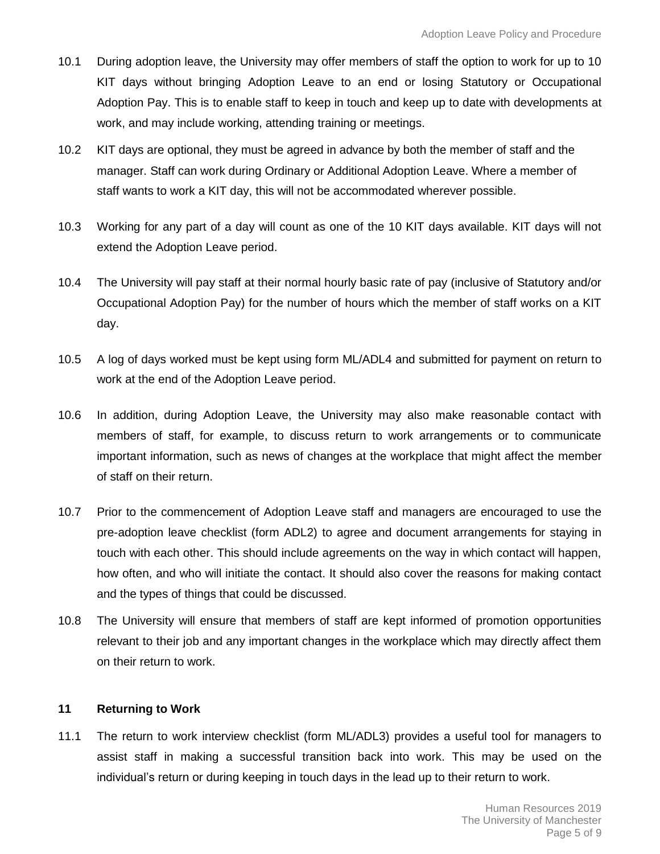- 10.1 During adoption leave, the University may offer members of staff the option to work for up to 10 KIT days without bringing Adoption Leave to an end or losing Statutory or Occupational Adoption Pay. This is to enable staff to keep in touch and keep up to date with developments at work, and may include working, attending training or meetings.
- 10.2 KIT days are optional, they must be agreed in advance by both the member of staff and the manager. Staff can work during Ordinary or Additional Adoption Leave. Where a member of staff wants to work a KIT day, this will not be accommodated wherever possible.
- 10.3 Working for any part of a day will count as one of the 10 KIT days available. KIT days will not extend the Adoption Leave period.
- 10.4 The University will pay staff at their normal hourly basic rate of pay (inclusive of Statutory and/or Occupational Adoption Pay) for the number of hours which the member of staff works on a KIT day.
- 10.5 A log of days worked must be kept using form ML/ADL4 and submitted for payment on return to work at the end of the Adoption Leave period.
- 10.6 In addition, during Adoption Leave, the University may also make reasonable contact with members of staff, for example, to discuss return to work arrangements or to communicate important information, such as news of changes at the workplace that might affect the member of staff on their return.
- 10.7 Prior to the commencement of Adoption Leave staff and managers are encouraged to use the pre-adoption leave checklist (form ADL2) to agree and document arrangements for staying in touch with each other. This should include agreements on the way in which contact will happen, how often, and who will initiate the contact. It should also cover the reasons for making contact and the types of things that could be discussed.
- 10.8 The University will ensure that members of staff are kept informed of promotion opportunities relevant to their job and any important changes in the workplace which may directly affect them on their return to work.

### **11 Returning to Work**

11.1 The return to work interview checklist (form ML/ADL3) provides a useful tool for managers to assist staff in making a successful transition back into work. This may be used on the individual's return or during keeping in touch days in the lead up to their return to work.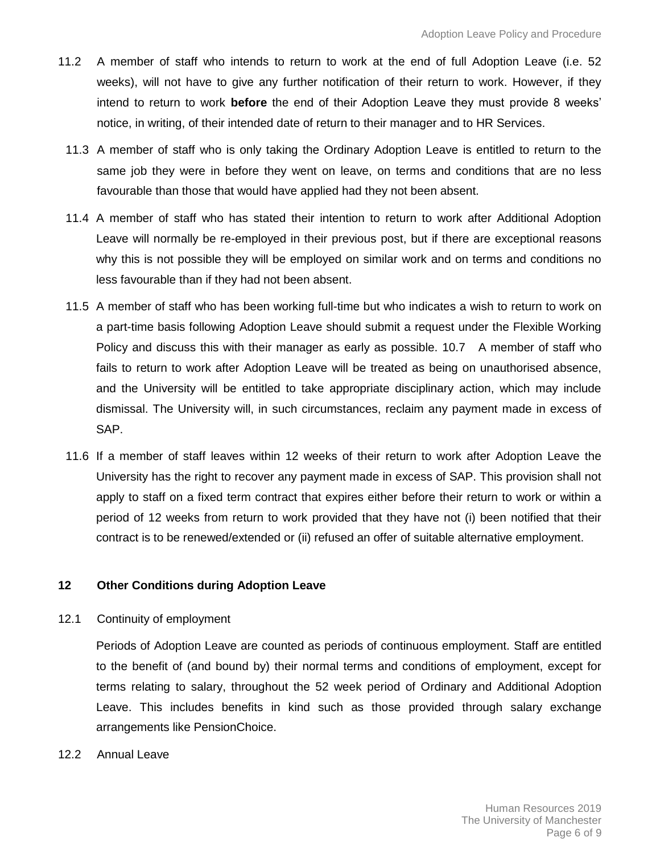- 11.2 A member of staff who intends to return to work at the end of full Adoption Leave (i.e. 52 weeks), will not have to give any further notification of their return to work. However, if they intend to return to work **before** the end of their Adoption Leave they must provide 8 weeks' notice, in writing, of their intended date of return to their manager and to HR Services.
	- 11.3 A member of staff who is only taking the Ordinary Adoption Leave is entitled to return to the same job they were in before they went on leave, on terms and conditions that are no less favourable than those that would have applied had they not been absent.
	- 11.4 A member of staff who has stated their intention to return to work after Additional Adoption Leave will normally be re-employed in their previous post, but if there are exceptional reasons why this is not possible they will be employed on similar work and on terms and conditions no less favourable than if they had not been absent.
	- 11.5 A member of staff who has been working full-time but who indicates a wish to return to work on a part-time basis following Adoption Leave should submit a request under the Flexible Working Policy and discuss this with their manager as early as possible. 10.7 A member of staff who fails to return to work after Adoption Leave will be treated as being on unauthorised absence, and the University will be entitled to take appropriate disciplinary action, which may include dismissal. The University will, in such circumstances, reclaim any payment made in excess of SAP.
	- 11.6 If a member of staff leaves within 12 weeks of their return to work after Adoption Leave the University has the right to recover any payment made in excess of SAP. This provision shall not apply to staff on a fixed term contract that expires either before their return to work or within a period of 12 weeks from return to work provided that they have not (i) been notified that their contract is to be renewed/extended or (ii) refused an offer of suitable alternative employment.

### **12 Other Conditions during Adoption Leave**

### 12.1 Continuity of employment

Periods of Adoption Leave are counted as periods of continuous employment. Staff are entitled to the benefit of (and bound by) their normal terms and conditions of employment, except for terms relating to salary, throughout the 52 week period of Ordinary and Additional Adoption Leave. This includes benefits in kind such as those provided through salary exchange arrangements like PensionChoice.

12.2 Annual Leave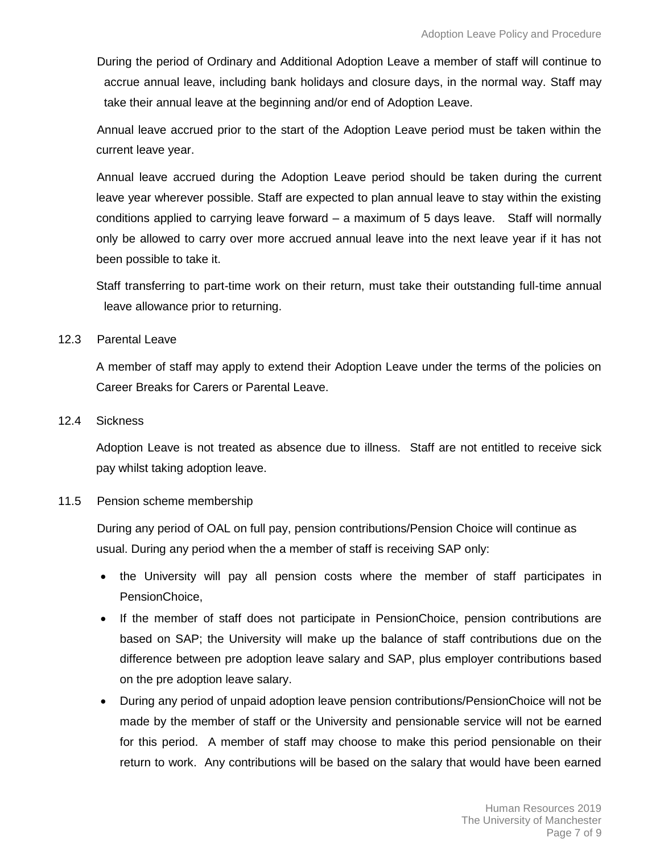During the period of Ordinary and Additional Adoption Leave a member of staff will continue to accrue annual leave, including bank holidays and closure days, in the normal way. Staff may take their annual leave at the beginning and/or end of Adoption Leave.

Annual leave accrued prior to the start of the Adoption Leave period must be taken within the current leave year.

Annual leave accrued during the Adoption Leave period should be taken during the current leave year wherever possible. Staff are expected to plan annual leave to stay within the existing conditions applied to carrying leave forward – a maximum of 5 days leave. Staff will normally only be allowed to carry over more accrued annual leave into the next leave year if it has not been possible to take it.

Staff transferring to part-time work on their return, must take their outstanding full-time annual leave allowance prior to returning.

#### 12.3 Parental Leave

A member of staff may apply to extend their Adoption Leave under the terms of the policies on Career Breaks for Carers or Parental Leave.

#### 12.4 Sickness

Adoption Leave is not treated as absence due to illness. Staff are not entitled to receive sick pay whilst taking adoption leave.

### 11.5 Pension scheme membership

During any period of OAL on full pay, pension contributions/Pension Choice will continue as usual. During any period when the a member of staff is receiving SAP only:

- the University will pay all pension costs where the member of staff participates in PensionChoice,
- If the member of staff does not participate in PensionChoice, pension contributions are based on SAP; the University will make up the balance of staff contributions due on the difference between pre adoption leave salary and SAP, plus employer contributions based on the pre adoption leave salary.
- During any period of unpaid adoption leave pension contributions/PensionChoice will not be made by the member of staff or the University and pensionable service will not be earned for this period. A member of staff may choose to make this period pensionable on their return to work. Any contributions will be based on the salary that would have been earned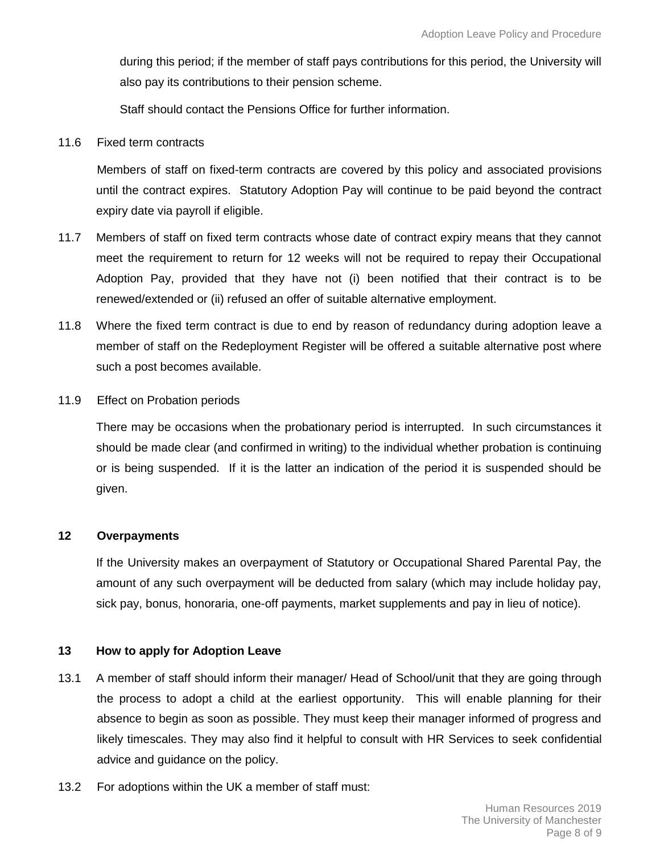during this period; if the member of staff pays contributions for this period, the University will also pay its contributions to their pension scheme.

Staff should contact the Pensions Office for further information.

11.6 Fixed term contracts

Members of staff on fixed-term contracts are covered by this policy and associated provisions until the contract expires. Statutory Adoption Pay will continue to be paid beyond the contract expiry date via payroll if eligible.

- 11.7 Members of staff on fixed term contracts whose date of contract expiry means that they cannot meet the requirement to return for 12 weeks will not be required to repay their Occupational Adoption Pay, provided that they have not (i) been notified that their contract is to be renewed/extended or (ii) refused an offer of suitable alternative employment.
- 11.8 Where the fixed term contract is due to end by reason of redundancy during adoption leave a member of staff on the Redeployment Register will be offered a suitable alternative post where such a post becomes available.
- 11.9 Effect on Probation periods

There may be occasions when the probationary period is interrupted. In such circumstances it should be made clear (and confirmed in writing) to the individual whether probation is continuing or is being suspended. If it is the latter an indication of the period it is suspended should be given.

#### **12 Overpayments**

If the University makes an overpayment of Statutory or Occupational Shared Parental Pay, the amount of any such overpayment will be deducted from salary (which may include holiday pay, sick pay, bonus, honoraria, one-off payments, market supplements and pay in lieu of notice).

#### **13 How to apply for Adoption Leave**

- 13.1 A member of staff should inform their manager/ Head of School/unit that they are going through the process to adopt a child at the earliest opportunity. This will enable planning for their absence to begin as soon as possible. They must keep their manager informed of progress and likely timescales. They may also find it helpful to consult with HR Services to seek confidential advice and guidance on the policy.
- 13.2 For adoptions within the UK a member of staff must: